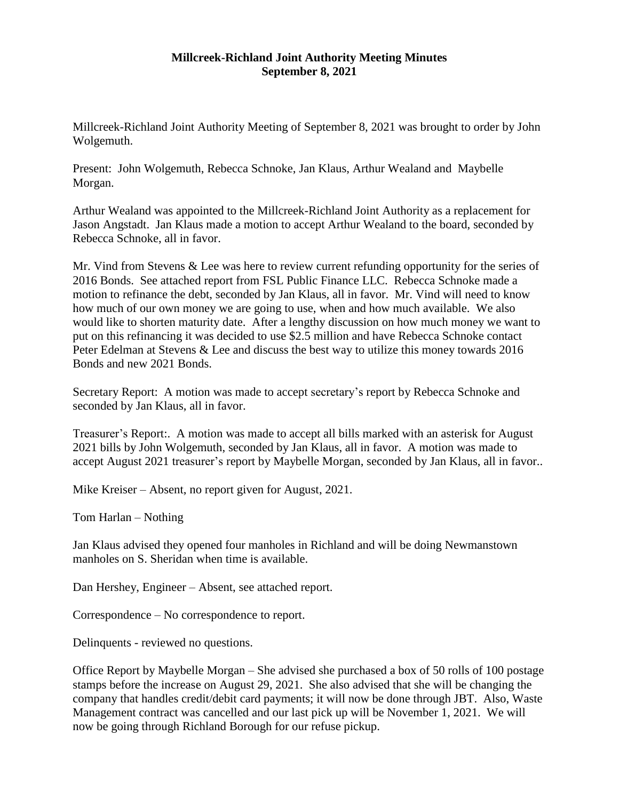## **Millcreek-Richland Joint Authority Meeting Minutes September 8, 2021**

Millcreek-Richland Joint Authority Meeting of September 8, 2021 was brought to order by John Wolgemuth.

Present: John Wolgemuth, Rebecca Schnoke, Jan Klaus, Arthur Wealand and Maybelle Morgan.

Arthur Wealand was appointed to the Millcreek-Richland Joint Authority as a replacement for Jason Angstadt. Jan Klaus made a motion to accept Arthur Wealand to the board, seconded by Rebecca Schnoke, all in favor.

Mr. Vind from Stevens & Lee was here to review current refunding opportunity for the series of 2016 Bonds. See attached report from FSL Public Finance LLC. Rebecca Schnoke made a motion to refinance the debt, seconded by Jan Klaus, all in favor. Mr. Vind will need to know how much of our own money we are going to use, when and how much available. We also would like to shorten maturity date. After a lengthy discussion on how much money we want to put on this refinancing it was decided to use \$2.5 million and have Rebecca Schnoke contact Peter Edelman at Stevens & Lee and discuss the best way to utilize this money towards 2016 Bonds and new 2021 Bonds.

Secretary Report: A motion was made to accept secretary's report by Rebecca Schnoke and seconded by Jan Klaus, all in favor.

Treasurer's Report:. A motion was made to accept all bills marked with an asterisk for August 2021 bills by John Wolgemuth, seconded by Jan Klaus, all in favor. A motion was made to accept August 2021 treasurer's report by Maybelle Morgan, seconded by Jan Klaus, all in favor..

Mike Kreiser – Absent, no report given for August, 2021.

Tom Harlan – Nothing

Jan Klaus advised they opened four manholes in Richland and will be doing Newmanstown manholes on S. Sheridan when time is available.

Dan Hershey, Engineer – Absent, see attached report.

Correspondence – No correspondence to report.

Delinquents - reviewed no questions.

Office Report by Maybelle Morgan – She advised she purchased a box of 50 rolls of 100 postage stamps before the increase on August 29, 2021. She also advised that she will be changing the company that handles credit/debit card payments; it will now be done through JBT. Also, Waste Management contract was cancelled and our last pick up will be November 1, 2021. We will now be going through Richland Borough for our refuse pickup.